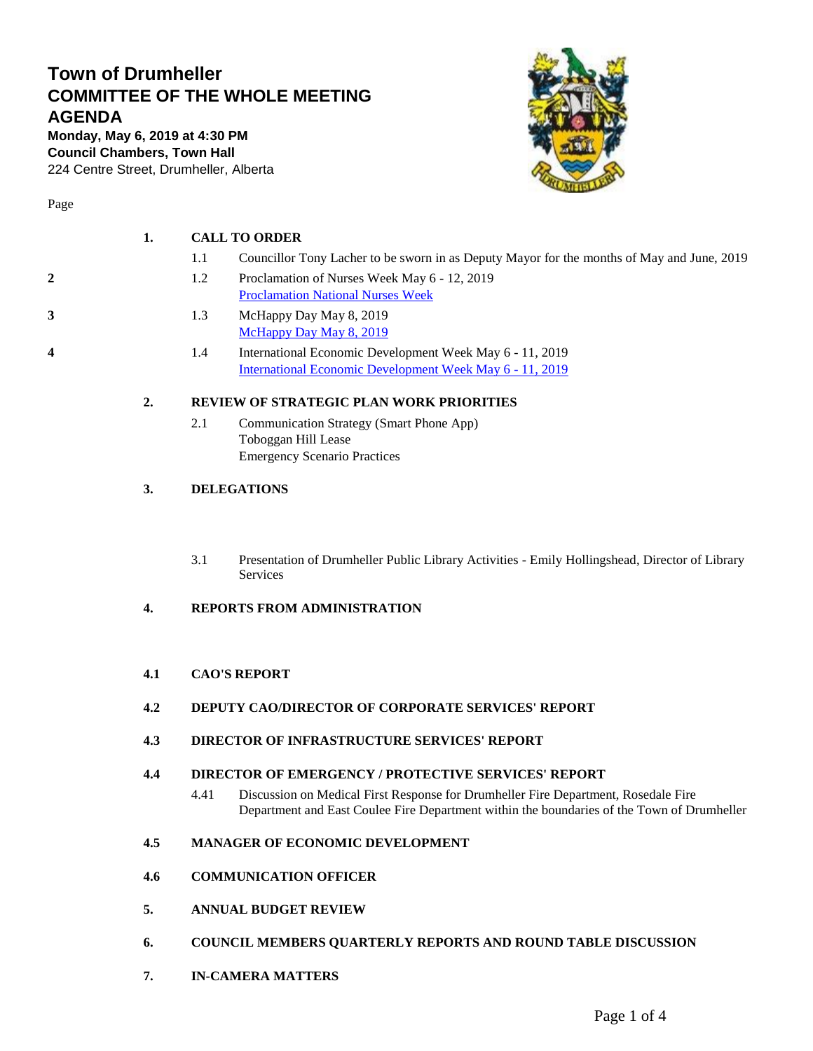## **Town of Drumheller COMMITTEE OF THE WHOLE MEETING AGENDA**

**Monday, May 6, 2019 at 4:30 PM Council Chambers, Town Hall** 224 Centre Street, Drumheller, Alberta



Page

- 1.1 Councillor Tony Lacher to be sworn in as Deputy Mayor for the months of May and June, 2019
- **2** 1.2 Proclamation of Nurses Week May 6 12, 2019 [Proclamation National Nurses Week](#page-1-0)
- **3** 1.3 McHappy Day May 8, 2019 [McHappy Day May 8, 2019](#page-2-0)
- **4** 1.4 International Economic Development Week May 6 11, 2019 [International Economic Development Week May 6 -](#page-3-0) 11, 2019

#### **2. REVIEW OF STRATEGIC PLAN WORK PRIORITIES**

2.1 Communication Strategy (Smart Phone App) Toboggan Hill Lease Emergency Scenario Practices

#### **3. DELEGATIONS**

3.1 Presentation of Drumheller Public Library Activities - Emily Hollingshead, Director of Library Services

#### **4. REPORTS FROM ADMINISTRATION**

#### **4.1 CAO'S REPORT**

- **4.2 DEPUTY CAO/DIRECTOR OF CORPORATE SERVICES' REPORT**
- **4.3 DIRECTOR OF INFRASTRUCTURE SERVICES' REPORT**

#### **4.4 DIRECTOR OF EMERGENCY / PROTECTIVE SERVICES' REPORT**

4.41 Discussion on Medical First Response for Drumheller Fire Department, Rosedale Fire Department and East Coulee Fire Department within the boundaries of the Town of Drumheller

#### **4.5 MANAGER OF ECONOMIC DEVELOPMENT**

- **4.6 COMMUNICATION OFFICER**
- **5. ANNUAL BUDGET REVIEW**
- **6. COUNCIL MEMBERS QUARTERLY REPORTS AND ROUND TABLE DISCUSSION**
- **7. IN-CAMERA MATTERS**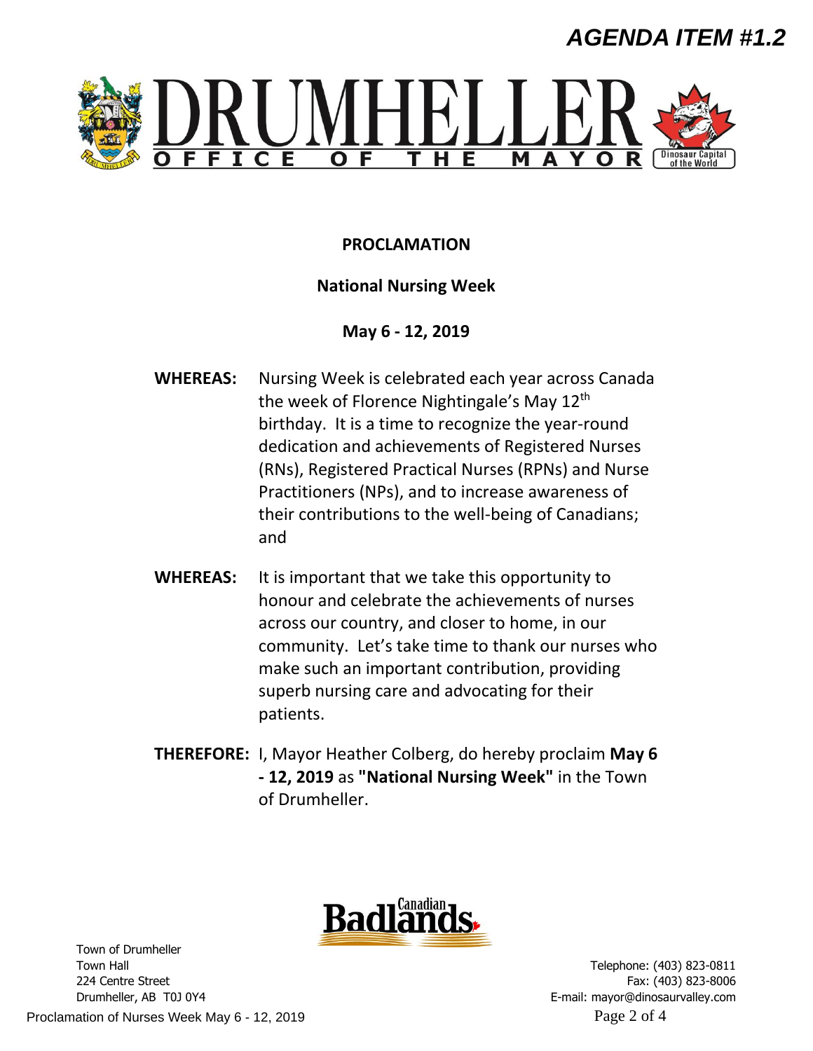# *AGENDA ITEM #1.2*

<span id="page-1-0"></span>

## **PROCLAMATION**

### **National Nursing Week**

**May 6 - 12, 2019**

- **WHEREAS:** Nursing Week is celebrated each year across Canada the week of Florence Nightingale's May 12<sup>th</sup> birthday. It is a time to recognize the year-round dedication and achievements of Registered Nurses (RNs), Registered Practical Nurses (RPNs) and Nurse Practitioners (NPs), and to increase awareness of their contributions to the well-being of Canadians; and
- **WHEREAS:** It is important that we take this opportunity to honour and celebrate the achievements of nurses across our country, and closer to home, in our community. Let's take time to thank our nurses who make such an important contribution, providing superb nursing care and advocating for their patients.
- **THEREFORE:** I, Mayor Heather Colberg, do hereby proclaim **May 6 - 12, 2019** as **"National Nursing Week"** in the Town of Drumheller.



Telephone: (403) 823-0811 Fax: (403) 823-8006 E-mail: mayor@dinosaurvalley.com

Town of Drumheller Town Hall 224 Centre Street Drumheller, AB T0J 0Y4

Proclamation of Nurses Week May 6 - 12, 2019 Proclamation of Nurses Week May 6 - 12, 2019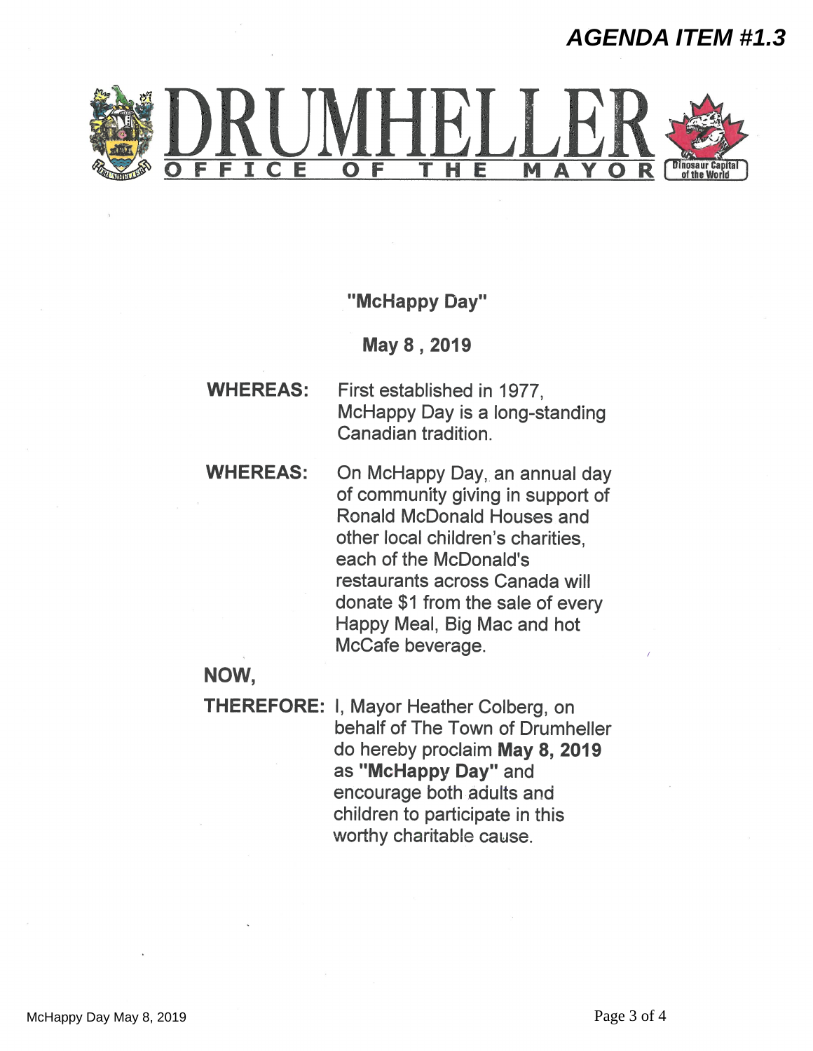## *AGENDA ITEM #1.3*

<span id="page-2-0"></span>

"McHappy Day"

May 8, 2019

- **WHEREAS:** First established in 1977. McHappy Day is a long-standing Canadian tradition.
- **WHEREAS:** On McHappy Day, an annual day of community giving in support of **Ronald McDonald Houses and** other local children's charities. each of the McDonald's restaurants across Canada will donate \$1 from the sale of every Happy Meal, Big Mac and hot McCafe beverage.

## NOW,

**THEREFORE: I, Mayor Heather Colberg, on** behalf of The Town of Drumheller do hereby proclaim May 8, 2019 as "McHappy Day" and encourage both adults and children to participate in this worthy charitable cause.